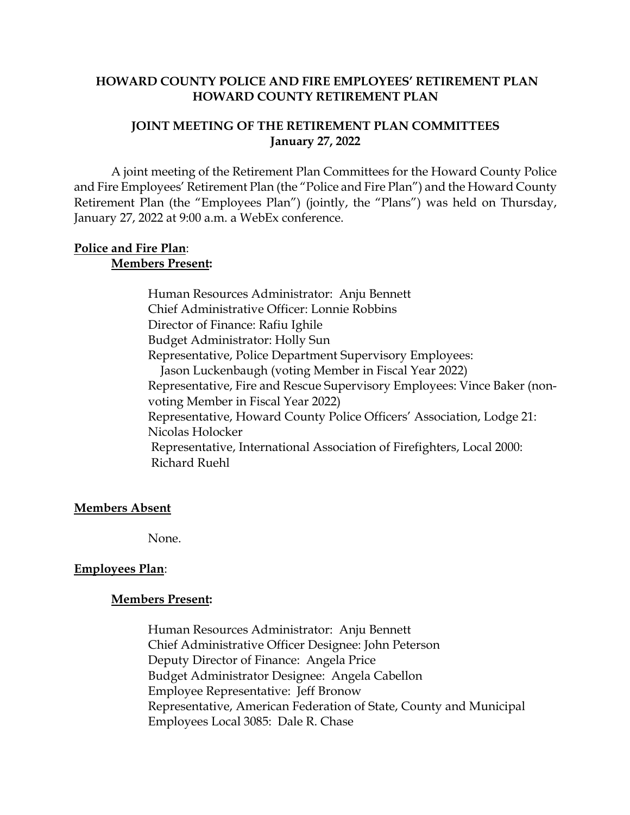#### **HOWARD COUNTY POLICE AND FIRE EMPLOYEES' RETIREMENT PLAN HOWARD COUNTY RETIREMENT PLAN**

#### **JOINT MEETING OF THE RETIREMENT PLAN COMMITTEES January 27, 2022**

A joint meeting of the Retirement Plan Committees for the Howard County Police and Fire Employees' Retirement Plan (the "Police and Fire Plan") and the Howard County Retirement Plan (the "Employees Plan") (jointly, the "Plans") was held on Thursday, January 27, 2022 at 9:00 a.m. a WebEx conference.

#### **Police and Fire Plan**: **Members Present:**

Human Resources Administrator: Anju Bennett Chief Administrative Officer: Lonnie Robbins Director of Finance: Rafiu Ighile Budget Administrator: Holly Sun Representative, Police Department Supervisory Employees: Jason Luckenbaugh (voting Member in Fiscal Year 2022) Representative, Fire and Rescue Supervisory Employees: Vince Baker (nonvoting Member in Fiscal Year 2022) Representative, Howard County Police Officers' Association, Lodge 21: Nicolas Holocker Representative, International Association of Firefighters, Local 2000: Richard Ruehl

## **Members Absent**

None.

## **Employees Plan**:

#### **Members Present:**

Human Resources Administrator: Anju Bennett Chief Administrative Officer Designee: John Peterson Deputy Director of Finance: Angela Price Budget Administrator Designee: Angela Cabellon Employee Representative: Jeff Bronow Representative, American Federation of State, County and Municipal Employees Local 3085: Dale R. Chase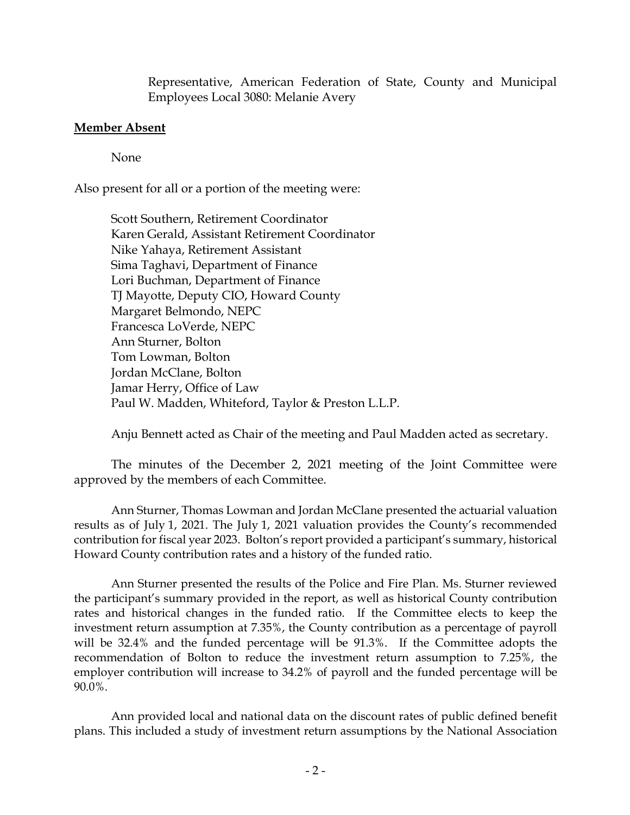Representative, American Federation of State, County and Municipal Employees Local 3080: Melanie Avery

#### **Member Absent**

None

Also present for all or a portion of the meeting were:

Scott Southern, Retirement Coordinator Karen Gerald, Assistant Retirement Coordinator Nike Yahaya, Retirement Assistant Sima Taghavi, Department of Finance Lori Buchman, Department of Finance TJ Mayotte, Deputy CIO, Howard County Margaret Belmondo, NEPC Francesca LoVerde, NEPC Ann Sturner, Bolton Tom Lowman, Bolton Jordan McClane, Bolton Jamar Herry, Office of Law Paul W. Madden, Whiteford, Taylor & Preston L.L.P.

Anju Bennett acted as Chair of the meeting and Paul Madden acted as secretary.

The minutes of the December 2, 2021 meeting of the Joint Committee were approved by the members of each Committee.

Ann Sturner, Thomas Lowman and Jordan McClane presented the actuarial valuation results as of July 1, 2021. The July 1, 2021 valuation provides the County's recommended contribution for fiscal year 2023. Bolton's report provided a participant's summary, historical Howard County contribution rates and a history of the funded ratio.

Ann Sturner presented the results of the Police and Fire Plan. Ms. Sturner reviewed the participant's summary provided in the report, as well as historical County contribution rates and historical changes in the funded ratio. If the Committee elects to keep the investment return assumption at 7.35%, the County contribution as a percentage of payroll will be 32.4% and the funded percentage will be 91.3%. If the Committee adopts the recommendation of Bolton to reduce the investment return assumption to 7.25%, the employer contribution will increase to 34.2% of payroll and the funded percentage will be 90.0%.

Ann provided local and national data on the discount rates of public defined benefit plans. This included a study of investment return assumptions by the National Association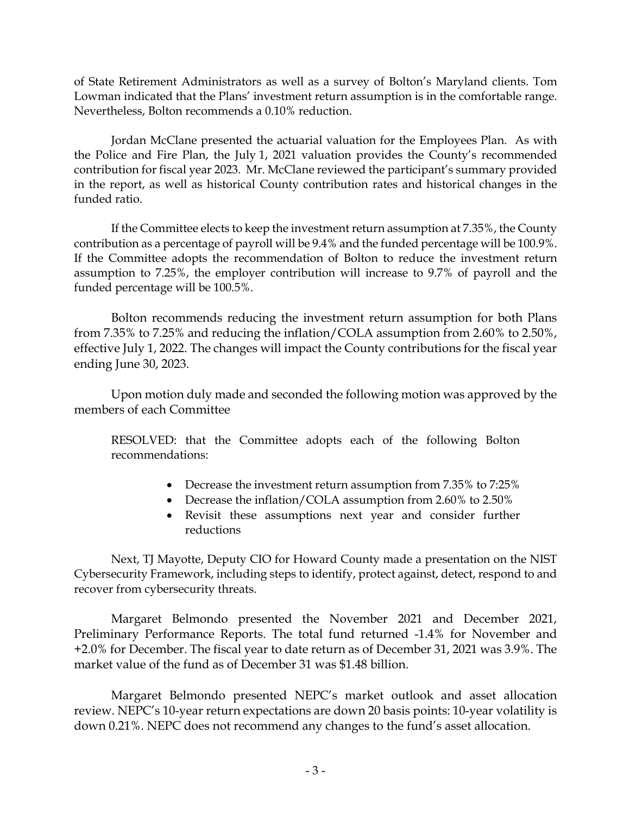of State Retirement Administrators as well as a survey of Bolton's Maryland clients. Tom Lowman indicated that the Plans' investment return assumption is in the comfortable range. Nevertheless, Bolton recommends a 0.10% reduction.

Jordan McClane presented the actuarial valuation for the Employees Plan. As with the Police and Fire Plan, the July 1, 2021 valuation provides the County's recommended contribution for fiscal year 2023. Mr. McClane reviewed the participant's summary provided in the report, as well as historical County contribution rates and historical changes in the funded ratio.

If the Committee elects to keep the investment return assumption at 7.35%, the County contribution as a percentage of payroll will be 9.4% and the funded percentage will be 100.9%. If the Committee adopts the recommendation of Bolton to reduce the investment return assumption to 7.25%, the employer contribution will increase to 9.7% of payroll and the funded percentage will be 100.5%.

Bolton recommends reducing the investment return assumption for both Plans from 7.35% to 7.25% and reducing the inflation/COLA assumption from 2.60% to 2.50%, effective July 1, 2022. The changes will impact the County contributions for the fiscal year ending June 30, 2023.

Upon motion duly made and seconded the following motion was approved by the members of each Committee

RESOLVED: that the Committee adopts each of the following Bolton recommendations:

- Decrease the investment return assumption from 7.35% to 7:25%
- Decrease the inflation/COLA assumption from 2.60% to 2.50%
- Revisit these assumptions next year and consider further reductions

Next, TJ Mayotte, Deputy CIO for Howard County made a presentation on the NIST Cybersecurity Framework, including steps to identify, protect against, detect, respond to and recover from cybersecurity threats.

Margaret Belmondo presented the November 2021 and December 2021, Preliminary Performance Reports. The total fund returned -1.4% for November and +2.0% for December. The fiscal year to date return as of December 31, 2021 was 3.9%. The market value of the fund as of December 31 was \$1.48 billion.

Margaret Belmondo presented NEPC's market outlook and asset allocation review. NEPC's 10-year return expectations are down 20 basis points: 10-year volatility is down 0.21%. NEPC does not recommend any changes to the fund's asset allocation.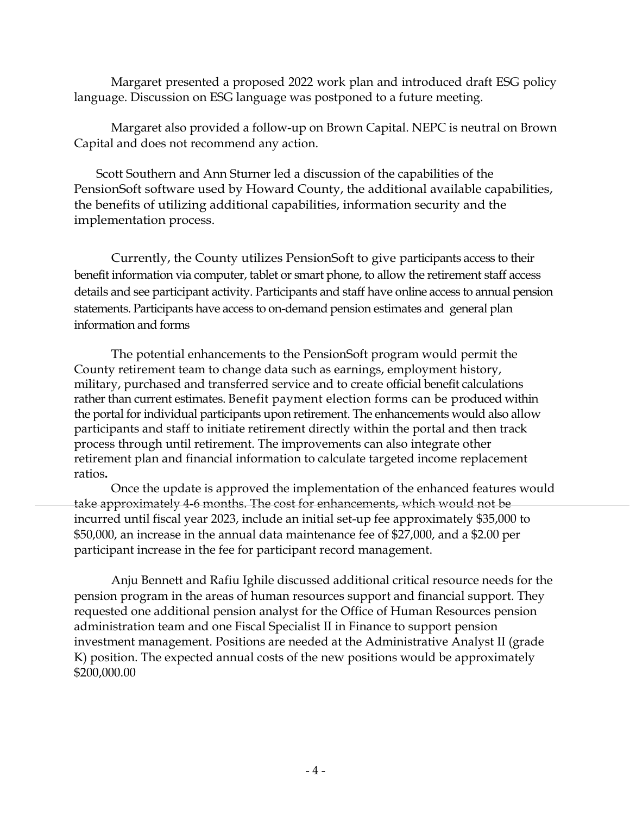Margaret presented a proposed 2022 work plan and introduced draft ESG policy language. Discussion on ESG language was postponed to a future meeting.

Margaret also provided a follow-up on Brown Capital. NEPC is neutral on Brown Capital and does not recommend any action.

 Scott Southern and Ann Sturner led a discussion of the capabilities of the PensionSoft software used by Howard County, the additional available capabilities, the benefits of utilizing additional capabilities, information security and the implementation process.

Currently, the County utilizes PensionSoft to give participants access to their benefit information via computer, tablet or smart phone, to allow the retirement staff access details and see participant activity. Participants and staff have online access to annual pension statements. Participants have access to on-demand pension estimates and general plan information and forms

The potential enhancements to the PensionSoft program would permit the County retirement team to change data such as earnings, employment history, military, purchased and transferred service and to create official benefit calculations rather than current estimates. Benefit payment election forms can be produced within the portal for individual participants upon retirement. The enhancements would also allow participants and staff to initiate retirement directly within the portal and then track process through until retirement. The improvements can also integrate other retirement plan and financial information to calculate targeted income replacement ratios**.** 

Once the update is approved the implementation of the enhanced features would take approximately 4-6 months. The cost for enhancements, which would not be incurred until fiscal year 2023, include an initial set-up fee approximately \$35,000 to \$50,000, an increase in the annual data maintenance fee of \$27,000, and a \$2.00 per participant increase in the fee for participant record management.

Anju Bennett and Rafiu Ighile discussed additional critical resource needs for the pension program in the areas of human resources support and financial support. They requested one additional pension analyst for the Office of Human Resources pension administration team and one Fiscal Specialist II in Finance to support pension investment management. Positions are needed at the Administrative Analyst II (grade K) position. The expected annual costs of the new positions would be approximately \$200,000.00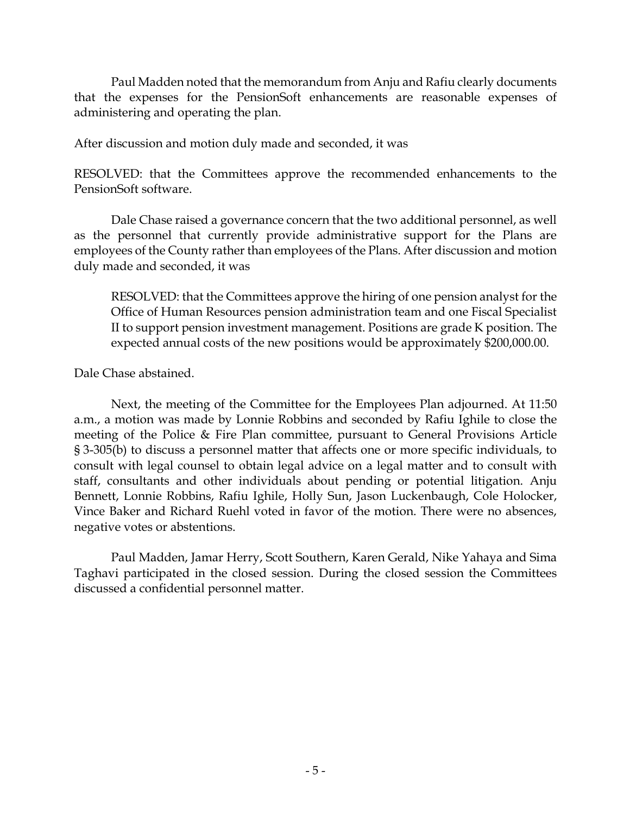Paul Madden noted that the memorandum from Anju and Rafiu clearly documents that the expenses for the PensionSoft enhancements are reasonable expenses of administering and operating the plan.

After discussion and motion duly made and seconded, it was

RESOLVED: that the Committees approve the recommended enhancements to the PensionSoft software.

Dale Chase raised a governance concern that the two additional personnel, as well as the personnel that currently provide administrative support for the Plans are employees of the County rather than employees of the Plans. After discussion and motion duly made and seconded, it was

RESOLVED: that the Committees approve the hiring of one pension analyst for the Office of Human Resources pension administration team and one Fiscal Specialist II to support pension investment management. Positions are grade K position. The expected annual costs of the new positions would be approximately \$200,000.00.

Dale Chase abstained.

Next, the meeting of the Committee for the Employees Plan adjourned. At 11:50 a.m., a motion was made by Lonnie Robbins and seconded by Rafiu Ighile to close the meeting of the Police & Fire Plan committee, pursuant to General Provisions Article § 3-305(b) to discuss a personnel matter that affects one or more specific individuals, to consult with legal counsel to obtain legal advice on a legal matter and to consult with staff, consultants and other individuals about pending or potential litigation. Anju Bennett, Lonnie Robbins, Rafiu Ighile, Holly Sun, Jason Luckenbaugh, Cole Holocker, Vince Baker and Richard Ruehl voted in favor of the motion. There were no absences, negative votes or abstentions.

Paul Madden, Jamar Herry, Scott Southern, Karen Gerald, Nike Yahaya and Sima Taghavi participated in the closed session. During the closed session the Committees discussed a confidential personnel matter.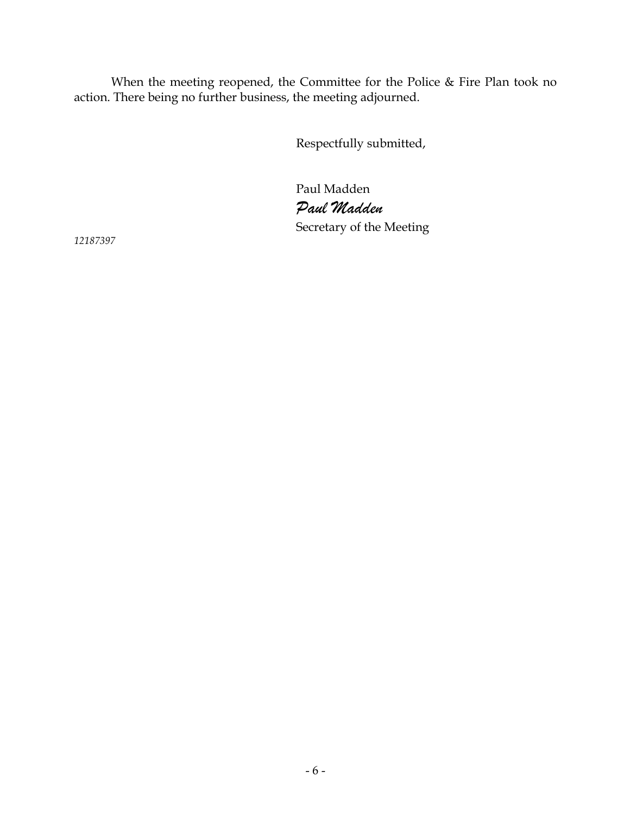When the meeting reopened, the Committee for the Police & Fire Plan took no action. There being no further business, the meeting adjourned.

Respectfully submitted,

Paul Madden *Paul Madden* Secretary of the Meeting

*12187397*